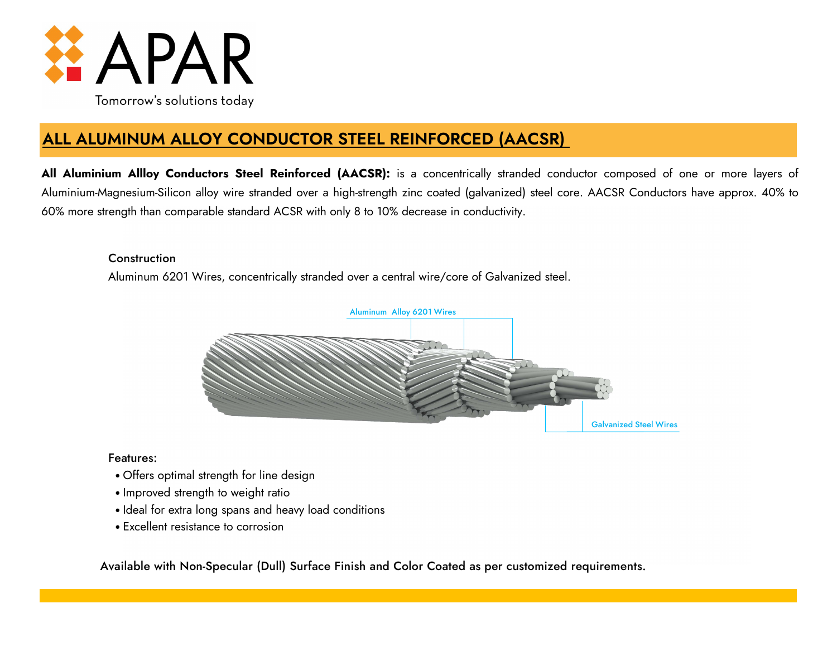

# **ALL ALUMINUM ALLOY CONDUCTOR STEEL REINFORCED (AACSR)**

**All Aluminium Allloy Conductors Steel Reinforced (AACSR):** is a concentrically stranded conductor composed of one or more layers of Aluminium-Magnesium-Silicon alloy wire stranded over a high-strength zinc coated (galvanized) steel core. AACSR Conductors have approx. 40% to 60% more strength than comparable standard ACSR with only 8 to 10% decrease in conductivity.

# **Construction**

Aluminum 6201 Wires, concentrically stranded over a central wire/core of Galvanized steel.



# Features:

- Offers optimal strength for line design
- Improved strength to weight ratio
- Ideal for extra long spans and heavy load conditions
- Excellent resistance to corrosion

Available with Non-Specular (Dull) Surface Finish and Color Coated as per customized requirements.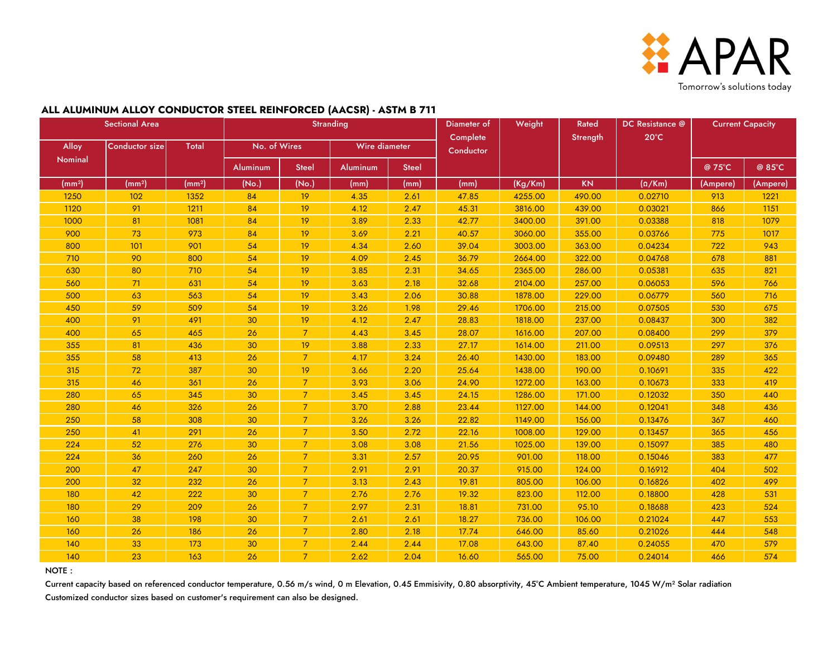

#### **ALL ALUMINUM ALLOY CONDUCTOR STEEL REINFORCED (AACSR) - ASTM B 711**

| <b>Sectional Area</b> |                       |                    |                 |                | <b>Stranding</b> |              | Diameter of           | Weight  | Rated    | DC Resistance @ | <b>Current Capacity</b> |          |
|-----------------------|-----------------------|--------------------|-----------------|----------------|------------------|--------------|-----------------------|---------|----------|-----------------|-------------------------|----------|
| Alloy                 | <b>Conductor size</b> | Total              | No. of Wires    |                | Wire diameter    |              | Complete<br>Conductor |         | Strength | $20^{\circ}$ C  |                         |          |
| Nominal               |                       |                    | <b>Aluminum</b> | <b>Steel</b>   | Aluminum         | <b>Steel</b> |                       |         |          |                 | @ 75°C                  | @ 85°C   |
| (mm <sup>2</sup> )    | (mm <sup>2</sup> )    | (mm <sup>2</sup> ) | (No.)           | (No.)          | (mm)             | (mm)         | (mm)                  | (Kg/Km) | KN       | $(\Omega/Km)$   | (Ampere)                | (Ampere) |
| 1250                  | 102                   | 1352               | 84              | 19             | 4.35             | 2.61         | 47.85                 | 4255.00 | 490.00   | 0.02710         | 913                     | 1221     |
| 1120                  | 91                    | 1211               | 84              | 19             | 4.12             | 2.47         | 45.31                 | 3816.00 | 439.00   | 0.03021         | 866                     | 1151     |
| 1000                  | 81                    | 1081               | 84              | 19             | 3.89             | 2.33         | 42.77                 | 3400.00 | 391.00   | 0.03388         | 818                     | 1079     |
| 900                   | 73                    | 973                | 84              | 19             | 3.69             | 2.21         | 40.57                 | 3060.00 | 355.00   | 0.03766         | 775                     | 1017     |
| 800                   | 101                   | 901                | 54              | 19             | 4.34             | 2.60         | 39.04                 | 3003.00 | 363.00   | 0.04234         | 722                     | 943      |
| 710                   | 90                    | 800                | 54              | 19             | 4.09             | 2.45         | 36.79                 | 2664.00 | 322.00   | 0.04768         | 678                     | 881      |
| 630                   | 80                    | 710                | 54              | 19             | 3.85             | 2.31         | 34.65                 | 2365.00 | 286.00   | 0.05381         | 635                     | 821      |
| 560                   | 71                    | 631                | 54              | 19             | 3.63             | 2.18         | 32.68                 | 2104.00 | 257.00   | 0.06053         | 596                     | 766      |
| 500                   | 63                    | 563                | 54              | 19             | 3.43             | 2.06         | 30.88                 | 1878.00 | 229.00   | 0.06779         | 560                     | 716      |
| 450                   | 59                    | 509                | 54              | 19             | 3.26             | 1.98         | 29.46                 | 1706.00 | 215.00   | 0.07505         | 530                     | 675      |
| 400                   | 91                    | 491                | 30              | 19             | 4.12             | 2.47         | 28.83                 | 1818.00 | 237.00   | 0.08437         | 300                     | 382      |
| 400                   | 65                    | 465                | 26              | $\overline{7}$ | 4.43             | 3.45         | 28.07                 | 1616.00 | 207.00   | 0.08400         | 299                     | 379      |
| 355                   | 81                    | 436                | 30              | 19             | 3.88             | 2.33         | 27.17                 | 1614.00 | 211.00   | 0.09513         | 297                     | 376      |
| 355                   | 58                    | 413                | 26              | $\overline{7}$ | 4.17             | 3.24         | 26.40                 | 1430.00 | 183.00   | 0.09480         | 289                     | 365      |
| 315                   | 72                    | 387                | 30              | 19             | 3.66             | 2.20         | 25.64                 | 1438.00 | 190.00   | 0.10691         | 335                     | 422      |
| 315                   | 46                    | 361                | 26              | $\overline{7}$ | 3.93             | 3.06         | 24.90                 | 1272.00 | 163.00   | 0.10673         | 333                     | 419      |
| 280                   | 65                    | 345                | 30              | $\overline{7}$ | 3.45             | 3.45         | 24.15                 | 1286.00 | 171.00   | 0.12032         | 350                     | 440      |
| 280                   | 46                    | 326                | 26              | $\overline{7}$ | 3.70             | 2.88         | 23.44                 | 1127.00 | 144.00   | 0.12041         | 348                     | 436      |
| 250                   | 58                    | 308                | 30              | $\overline{7}$ | 3.26             | 3.26         | 22.82                 | 1149.00 | 156.00   | 0.13476         | 367                     | 460      |
| 250                   | 41                    | 291                | 26              | $\overline{7}$ | 3.50             | 2.72         | 22.16                 | 1008.00 | 129.00   | 0.13457         | 365                     | 456      |
| 224                   | 52                    | 276                | 30              | $\overline{7}$ | 3.08             | 3.08         | 21.56                 | 1025.00 | 139.00   | 0.15097         | 385                     | 480      |
| 224                   | 36                    | 260                | 26              | $\overline{7}$ | 3.31             | 2.57         | 20.95                 | 901.00  | 118.00   | 0.15046         | 383                     | 477      |
| 200                   | 47                    | 247                | 30              | $\overline{7}$ | 2.91             | 2.91         | 20.37                 | 915.00  | 124.00   | 0.16912         | 404                     | 502      |
| 200                   | 32                    | 232                | 26              | $\overline{7}$ | 3.13             | 2.43         | 19.81                 | 805.00  | 106.00   | 0.16826         | 402                     | 499      |
| 180                   | 42                    | 222                | 30              | $\overline{7}$ | 2.76             | 2.76         | 19.32                 | 823.00  | 112.00   | 0.18800         | 428                     | 531      |
| 180                   | 29                    | 209                | 26              | $\overline{7}$ | 2.97             | 2.31         | 18.81                 | 731.00  | 95.10    | 0.18688         | 423                     | 524      |
| 160                   | 38                    | 198                | 30              | $\overline{7}$ | 2.61             | 2.61         | 18.27                 | 736.00  | 106.00   | 0.21024         | 447                     | 553      |
| 160                   | 26                    | 186                | 26              | $\overline{7}$ | 2.80             | 2.18         | 17.74                 | 646.00  | 85.60    | 0.21026         | 444                     | 548      |
| 140                   | 33                    | 173                | 30              | $\overline{7}$ | 2.44             | 2.44         | 17.08                 | 643.00  | 87.40    | 0.24055         | 470                     | 579      |
| 140                   | 23                    | 163                | 26              | $\overline{7}$ | 2.62             | 2.04         | 16.60                 | 565.00  | 75.00    | 0.24014         | 466                     | 574      |

NOTE :

Current capacity based on referenced conductor temperature, 0.56 m/s wind, 0 m Elevation, 0.45 Emmisivity, 0.80 absorptivity, 45°C Ambient temperature, 1045 W/m<sup>2</sup> Solar radiation Customized conductor sizes based on customer's requirement can also be designed.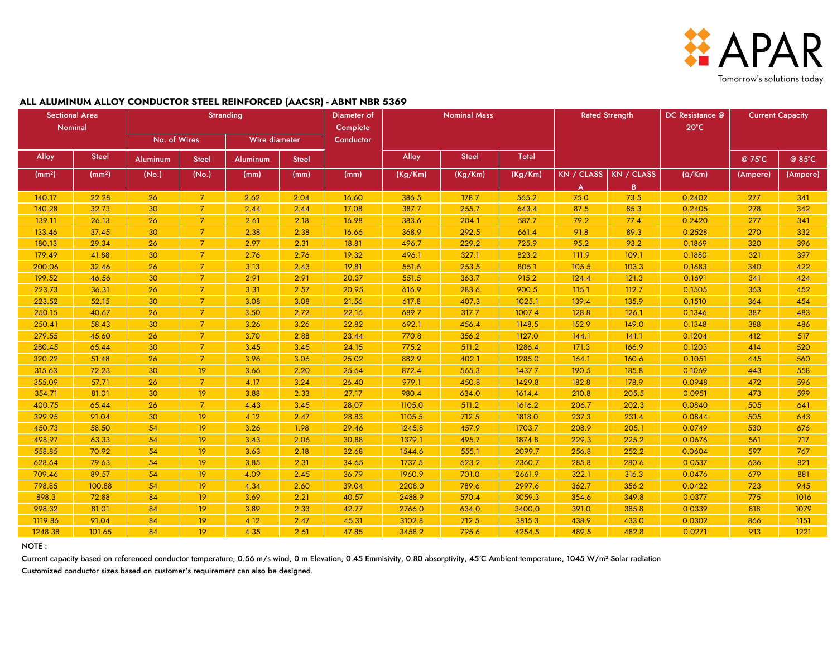

#### Alloy | <sup>Steel</sup> |Aluminum | Steel |Aluminum | Steel | Alloy | <sup>Steel</sup> | Total | Alloy | Steel | Alloy | @ 75°C | @ 85°C (mm²) (mm²) (No.) (No.) (mm) (mm) (mm) (Kg/Km) (Kg/Km) (Kg/Km) KN / CLASS A KN / CLASS B (Ω/Km) (Ampere) (Ampere) 140.17 | 22.28 | 26 | 7 | 2.62 | 2.04 | 16.60 | 386.5 | 178.7 | 565.2 | 75.0 | 73.5 | 0.2402 | 277 | 341 140.28 32.73 30 7 2.44 2.44 2.44 17.08 387.7 255.7 643.4 87.5 85.3 0.2405 278 342 139.11 | 26.13 | 26 | 7 | 2.61 | 2.18 | 16.98 | 383.6 | 204.1 | 587.7 | 79.2 | 77.4 | 0.2420 | 277 | 341 133.46 | 37.45 | 30 | 7 | 2.38 | 2.38 | 16.66 | 368.9 | 292.5 | 661.4 | 91.8 | 89.3 | 0.2528 | 270 | 332 180.13 | 29.34 | 26 | 7 | 2.97 | 2.31 | 18.81 | 496.7 | 229.2 | 725.9 | 95.2 | 93.2 | 0.1869 | 320 | 396 179.49 | 41.88 | 30 | 7 | 2.76 | 2.76 | 19.32 | 496.1 | 327.1 | 823.2 | 111.9 | 109.1 | 0.1880 | 321 | 397 200.06 32.46 26 7 3.13 2.43 19.81 551.6 253.5 805.1 105.5 103.3 0.1683 340 422 199.52 | 46.56 | 30 | 7 | 2.91 | 2.91 | 20.37 | 551.5 | 363.7 | 915.2 | 124.4 | 121.3 | 0.1691 | 341 | 424 223.73 | 36.31 | 26 | 7 | 3.31 | 2.57 | 20.95 | 616.9 | 283.6 | 900.5 | 115.1 | 112.7 | 0.1505 | 363 | 452 223.52 52.15 30 7 3.08 3.08 21.56 617.8 407.3 1025.1 139.4 135.9 0.1510 364 454 250.15 | 40.67 | 26 | 7 | 3.50 | 2.72 | 22.16 | 689.7 | 317.7 | 1007.4 | 128.8 | 126.1 | 0.1346 | 387 | 483 250.41 58.43 30 7 3.26 3.26 22.82 692.1 456.4 1148.5 152.9 149.0 0.1348 388 486 279.55 45.60 26 7 3.70 2.88 23.44 770.8 356.2 1127.0 144.1 141.1 0.1204 412 517 280.45 65.44 30 7 3.45 3.45 24.15 775.2 511.2 1286.4 171.3 166.9 0.1203 414 520 320.22 51.48 26 7 3.96 3.06 25.02 882.9 402.1 1285.0 164.1 160.6 0.1051 445 560 315.63 | 72.23 | 30 | 19 | 3.66 | 2.20 | 25.64 | 872.4 | 565.3 | 1437.7 | 190.5 | 185.8 | 0.1069 | 443 | 558 355.09 57.71 26 | 7 | 4.17 | 3.24 | 26.40 | 979.1 | 450.8 | 1429.8 | 182.8 | 178.9 | 0.0948 | 472 | 596 354.71 | 81.01 | 30 | 19 | 3.88 | 2.33 | 27.17 | 980.4 | 634.0 | 1614.4 | 210.8 | 205.5 | 0.0951 | 473 | 599 400.75 65.44 26 7 4.43 3.45 28.07 1105.0 511.2 1616.2 206.7 202.3 0.0840 505 641 399.95 91.04 30 19 4.12 2.47 28.83 1105.5 712.5 1818.0 237.3 231.4 0.0844 505 643 450.73 58.50 54 | 19 | 3.26 | 1.98 29.46 | 1245.8 | 457.9 | 1703.7 | 208.9 | 205.1 | 0.0749 | 530 | 676 498.97 63.33 654 | 19 | 3.43 | 2.06 | 30.88 | 1379.1 | 495.7 | 1874.8 | 229.3 | 225.2 | 0.0676 | 561 | 717 558.85 70.92 654 | 19 | 3.63 | 2.18 | 32.68 | 1544.6 | 555.1 | 2099.7 | 256.8 | 252.2 | 0.0604 | 597 | 767 628.64 79.63 54 | 19 | 3.85 | 2.31 | 34.65 | 1737.5 | 623.2 | 2360.7 | 285.8 | 280.6 | 0.0537 | 636 | 821 709.46 89.57 54 | 19 | 4.09 2.45 36.79 | 1960.9 | 701.0 | 2661.9 | 322.1 | 316.3 | 0.0476 | 679 | 881 798.85 100.88 54 19 4.34 2.60 39.04 2208.0 789.6 2997.6 362.7 356.2 0.0422 723 945 898.3 | 72.88 | 84 | 19 | 3.69 | 2.21 | 40.57 | 2488.9 | 570.4 | 3059.3 | 354.6 | 349.8 | 0.0377 | 775 | 1016 998.32 | 81.01 | 84 | 19 | 3.89 | 2.33 | 42.77 | 2766.0 | 634.0 | 3400.0 | 391.0 | 385.8 | 0.0339 | 818 | 1079 1119.86 | 91.04 | 84 | 19 | 4.12 | 2.47 | 45.31 | 3102.8 | 712.5 | 3815.3 | 438.9 | 433.0 | 0.0302 | 866 | 1151 1248.38 101.65 84 19 4.35 2.61 47.85 3458.9 795.6 4254.5 489.5 482.8 0.0271 913 1221 Current Capacity No. of Wires Wire diameter Sectional Area | Stranding Diameter of | Nominal Mass Rated Strength Nominal Stranding **Diameter of Nominal Mass Complete Conductor** DC Resistance @ 20°C

#### **ALL ALUMINUM ALLOY CONDUCTOR STEEL REINFORCED (AACSR) - ABNT NBR 5369**

NOTE :

Current capacity based on referenced conductor temperature, 0.56 m/s wind, 0 m Elevation, 0.45 Emmisivity, 0.80 absorptivity, 45°C Ambient temperature, 1045 W/m<sup>2</sup> Solar radiation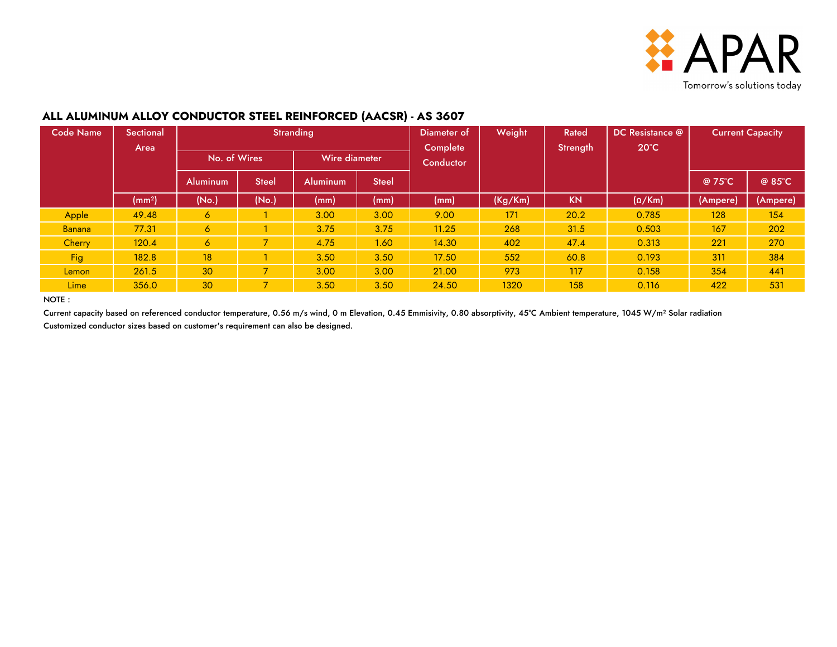

### **ALL ALUMINUM ALLOY CONDUCTOR STEEL REINFORCED (AACSR) - AS 3607**

| <b>Code Name</b> | <b>Sectional</b><br>Area |                 |                          | Stranding       |              | Diameter of<br>Complete | Weight  | Rated<br>Strength | DC Resistance @<br>$20^{\circ}$ C | <b>Current Capacity</b> |          |  |
|------------------|--------------------------|-----------------|--------------------------|-----------------|--------------|-------------------------|---------|-------------------|-----------------------------------|-------------------------|----------|--|
|                  |                          | No. of Wires    |                          | Wire diameter   |              | Conductor               |         |                   |                                   |                         |          |  |
|                  |                          | <b>Aluminum</b> | <b>Steel</b>             | <b>Aluminum</b> | <b>Steel</b> |                         |         |                   |                                   | @ 75°C                  | @ 85°C   |  |
|                  | (mm <sup>2</sup> )       | (No.)           | (No.)                    | (mm)            | (mm)         | (mm)                    | (Kg/Km) | <b>KN</b>         | $(\Omega/Km)$                     | (Ampere)                | (Ampere) |  |
| Apple            | 49.48                    | 6               |                          | 3.00            | 3.00         | 9.00                    | 171     | 20.2              | 0.785                             | 128                     | 154      |  |
| Banana           | 77.31                    | 6               |                          | 3.75            | 3.75         | 11.25                   | 268     | 31.5              | 0.503                             | 167                     | 202      |  |
| Cherry           | 120.4                    | 6               | $\overline{\phantom{a}}$ | 4.75            | 1.60         | 14.30                   | 402     | 47.4              | 0.313                             | 221                     | 270      |  |
| <b>Fig</b>       | 182.8                    | 18              |                          | 3.50            | 3.50         | 17.50                   | 552     | 60.8              | 0.193                             | 311                     | 384      |  |
| Lemon            | 261.5                    | 30              | $\overline{\phantom{a}}$ | 3.00            | 3.00         | 21.00                   | 973     | 117               | 0.158                             | 354                     | 441      |  |
| <b>Lime</b>      | 356.0                    | 30              | $\overline{\phantom{a}}$ | 3.50            | 3.50         | 24.50                   | 1320    | 158               | 0.116                             | 422                     | 531      |  |

NOTE :

Current capacity based on referenced conductor temperature, 0.56 m/s wind, 0 m Elevation, 0.45 Emmisivity, 0.80 absorptivity, 45°C Ambient temperature, 1045 W/m<sup>2</sup> Solar radiation Customized conductor sizes based on customer's requirement can also be designed.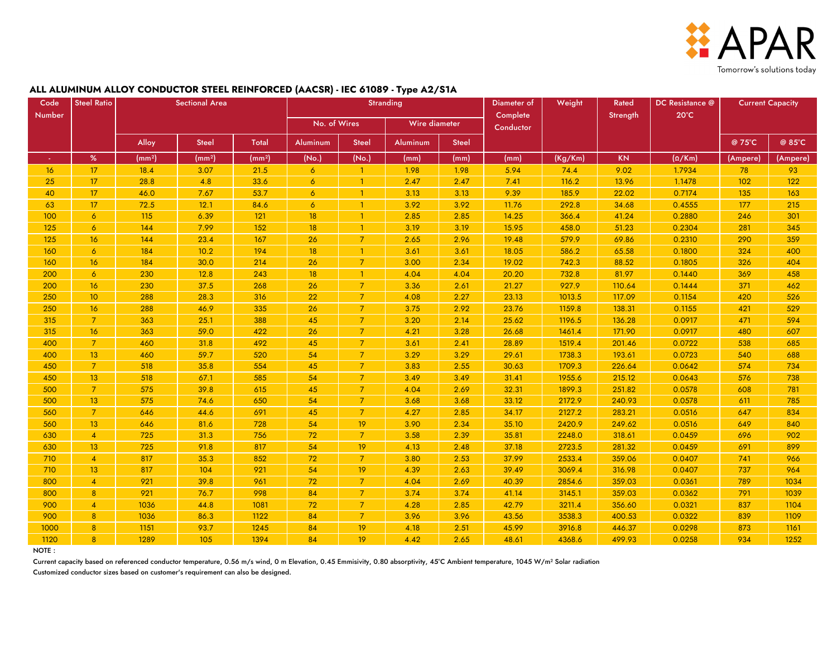

#### **ALL ALUMINUM ALLOY CONDUCTOR STEEL REINFORCED (AACSR) - IEC 61089 - Type A2/S1A**

| Code      | <b>Steel Ratio</b> | <b>Sectional Area</b> |                    |                    | <b>Stranding</b> |                |                 |              | Diameter of           | Weight  | Rated     | DC Resistance @ | <b>Current Capacity</b> |          |
|-----------|--------------------|-----------------------|--------------------|--------------------|------------------|----------------|-----------------|--------------|-----------------------|---------|-----------|-----------------|-------------------------|----------|
| Number    |                    |                       |                    |                    | No. of Wires     |                | Wire diameter   |              | Complete<br>Conductor |         | Strength  | $20^{\circ}$ C  |                         |          |
|           |                    | Alloy                 | <b>Steel</b>       | <b>Total</b>       | <b>Aluminum</b>  | <b>Steel</b>   | <b>Aluminum</b> | <b>Steel</b> |                       |         |           |                 | @ 75°C                  | @ 85°C   |
| $\bullet$ | $\%$               | (mm <sup>2</sup> )    | (mm <sup>2</sup> ) | (mm <sup>2</sup> ) | (No.)            | (No.)          | (mm)            | (mm)         | (mm)                  | (Kg/Km) | <b>KN</b> | $(\Omega/Km)$   | (Ampere)                | (Ampere) |
| 16        | 17                 | 18.4                  | 3.07               | 21.5               | 6                | $\mathbf{1}$   | 1.98            | 1.98         | 5.94                  | 74.4    | 9.02      | 1.7934          | 78                      | 93       |
| 25        | 17                 | 28.8                  | 4.8                | 33.6               | 6                | $\mathbf{1}$   | 2.47            | 2.47         | 7.41                  | 116.2   | 13.96     | 1.1478          | 102                     | 122      |
| 40        | 17                 | 46.0                  | 7.67               | 53.7               | 6                | $\mathbf{1}$   | 3.13            | 3.13         | 9.39                  | 185.9   | 22.02     | 0.7174          | 135                     | 163      |
| 63        | 17                 | 72.5                  | 12.1               | 84.6               | $\overline{6}$   | $\mathbf{1}$   | 3.92            | 3.92         | 11.76                 | 292.8   | 34.68     | 0.4555          | 177                     | 215      |
| 100       | $\overline{6}$     | 115                   | 6.39               | 121                | 18               | $\mathbf{1}$   | 2.85            | 2.85         | 14.25                 | 366.4   | 41.24     | 0.2880          | 246                     | 301      |
| 125       | $\overline{6}$     | 144                   | 7.99               | 152                | 18               | $\mathbf{1}$   | 3.19            | 3.19         | 15.95                 | 458.0   | 51.23     | 0.2304          | 281                     | 345      |
| 125       | 16                 | 144                   | 23.4               | 167                | 26               | $\overline{7}$ | 2.65            | 2.96         | 19.48                 | 579.9   | 69.86     | 0.2310          | 290                     | 359      |
| 160       | $\overline{6}$     | 184                   | 10.2               | 194                | 18               | $\mathbf{1}$   | 3.61            | 3.61         | 18.05                 | 586.2   | 65.58     | 0.1800          | 324                     | 400      |
| 160       | 16                 | 184                   | 30.0               | 214                | 26               | $\overline{7}$ | 3.00            | 2.34         | 19.02                 | 742.3   | 88.52     | 0.1805          | 326                     | 404      |
| 200       | $\overline{6}$     | 230                   | 12.8               | 243                | 18               | $\mathbf{1}$   | 4.04            | 4.04         | 20.20                 | 732.8   | 81.97     | 0.1440          | 369                     | 458      |
| 200       | 16                 | 230                   | 37.5               | 268                | 26               | $\overline{7}$ | 3.36            | 2.61         | 21.27                 | 927.9   | 110.64    | 0.1444          | 371                     | 462      |
| 250       | 10 <sup>°</sup>    | 288                   | 28.3               | 316                | 22               | $\overline{7}$ | 4.08            | 2.27         | 23.13                 | 1013.5  | 117.09    | 0.1154          | 420                     | 526      |
| 250       | 16                 | 288                   | 46.9               | 335                | 26               | 7              | 3.75            | 2.92         | 23.76                 | 1159.8  | 138.31    | 0.1155          | 421                     | 529      |
| 315       | $\overline{7}$     | 363                   | 25.1               | 388                | 45               | $\overline{7}$ | 3.20            | 2.14         | 25.62                 | 1196.5  | 136.28    | 0.0917          | 471                     | 594      |
| 315       | 16                 | 363                   | 59.0               | 422                | 26               | $\overline{7}$ | 4.21            | 3.28         | 26.68                 | 1461.4  | 171.90    | 0.0917          | 480                     | 607      |
| 400       | $\overline{7}$     | 460                   | 31.8               | 492                | 45               | $\overline{7}$ | 3.61            | 2.41         | 28.89                 | 1519.4  | 201.46    | 0.0722          | 538                     | 685      |
| 400       | 13                 | 460                   | 59.7               | 520                | 54               | $\overline{7}$ | 3.29            | 3.29         | 29.61                 | 1738.3  | 193.61    | 0.0723          | 540                     | 688      |
| 450       | $\overline{7}$     | 518                   | 35.8               | 554                | 45               | $\overline{7}$ | 3.83            | 2.55         | 30.63                 | 1709.3  | 226.64    | 0.0642          | 574                     | 734      |
| 450       | 13                 | 518                   | 67.1               | 585                | 54               | $\overline{7}$ | 3.49            | 3.49         | 31.41                 | 1955.6  | 215.12    | 0.0643          | 576                     | 738      |
| 500       | $\overline{7}$     | 575                   | 39.8               | 615                | 45               | $\overline{7}$ | 4.04            | 2.69         | 32.31                 | 1899.3  | 251.82    | 0.0578          | 608                     | 781      |
| 500       | 13 <sup>°</sup>    | 575                   | 74.6               | 650                | 54               | $\overline{7}$ | 3.68            | 3.68         | 33.12                 | 2172.9  | 240.93    | 0.0578          | 611                     | 785      |
| 560       | $\overline{7}$     | 646                   | 44.6               | 691                | 45               | $\overline{7}$ | 4.27            | 2.85         | 34.17                 | 2127.2  | 283.21    | 0.0516          | 647                     | 834      |
| 560       | 13 <sup>°</sup>    | 646                   | 81.6               | 728                | 54               | 19             | 3.90            | 2.34         | 35.10                 | 2420.9  | 249.62    | 0.0516          | 649                     | 840      |
| 630       | $\overline{4}$     | 725                   | 31.3               | 756                | 72               | $\overline{7}$ | 3.58            | 2.39         | 35.81                 | 2248.0  | 318.61    | 0.0459          | 696                     | 902      |
| 630       | 13                 | 725                   | 91.8               | 817                | 54               | 19             | 4.13            | 2.48         | 37.18                 | 2723.5  | 281.32    | 0.0459          | 691                     | 899      |
| 710       | $\overline{4}$     | 817                   | 35.3               | 852                | 72               | $\overline{7}$ | 3.80            | 2.53         | 37.99                 | 2533.4  | 359.06    | 0.0407          | 741                     | 966      |
| 710       | 13                 | 817                   | 104                | 921                | 54               | 19             | 4.39            | 2.63         | 39.49                 | 3069.4  | 316.98    | 0.0407          | 737                     | 964      |
| 800       | $\overline{4}$     | 921                   | 39.8               | 961                | 72               | $\overline{7}$ | 4.04            | 2.69         | 40.39                 | 2854.6  | 359.03    | 0.0361          | 789                     | 1034     |
| 800       | 8                  | 921                   | 76.7               | 998                | 84               | $\overline{7}$ | 3.74            | 3.74         | 41.14                 | 3145.1  | 359.03    | 0.0362          | 791                     | 1039     |
| 900       | $\overline{4}$     | 1036                  | 44.8               | 1081               | 72               | $\overline{7}$ | 4.28            | 2.85         | 42.79                 | 3211.4  | 356.60    | 0.0321          | 837                     | 1104     |
| 900       | 8                  | 1036                  | 86.3               | 1122               | 84               | $\overline{7}$ | 3.96            | 3.96         | 43.56                 | 3538.3  | 400.53    | 0.0322          | 839                     | 1109     |
| 1000      | 8                  | 1151                  | 93.7               | 1245               | 84               | 19             | 4.18            | 2.51         | 45.99                 | 3916.8  | 446.37    | 0.0298          | 873                     | 1161     |
| 1120      | 8                  | 1289                  | 105                | 1394               | 84               | 19             | 4.42            | 2.65         | 48.61                 | 4368.6  | 499.93    | 0.0258          | 934                     | 1252     |

NOTE :

Current capacity based on referenced conductor temperature, 0.56 m/s wind, 0 m Elevation, 0.45 Emmisivity, 0.80 absorptivity, 45°C Ambient temperature, 1045 W/m<sup>2</sup> Solar radiation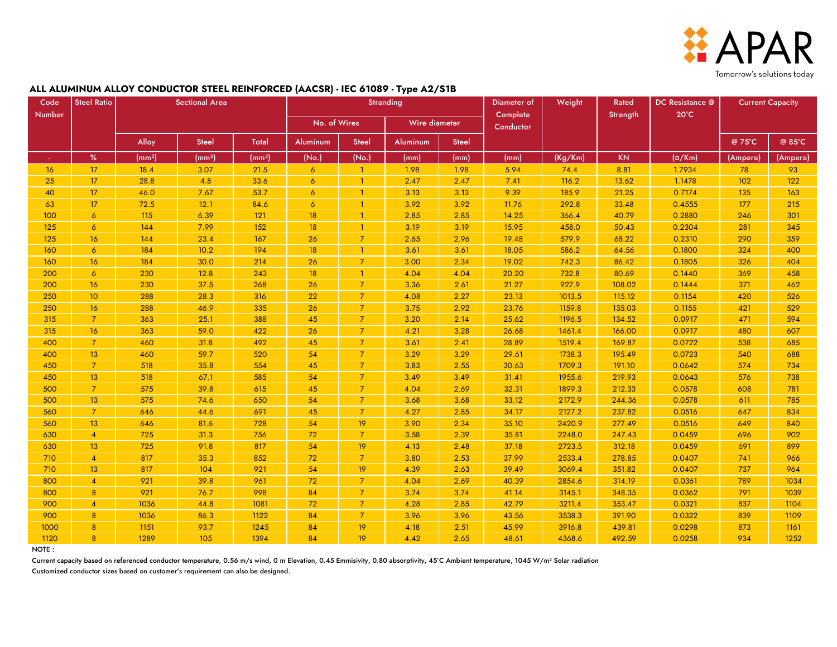

#### **ALL ALUMINUM ALLOY CONDUCTOR STEEL REINFORCED (AACSR) - IEC 61089 - Type A2/S1B**

| Code            | <b>Steel Ratio</b> |                    | <b>Sectional Area</b> |                    | <b>Stranding</b> |                |               |              | Diameter of           | Weight  | Rated     | DC Resistance @ | <b>Current Capacity</b> |          |
|-----------------|--------------------|--------------------|-----------------------|--------------------|------------------|----------------|---------------|--------------|-----------------------|---------|-----------|-----------------|-------------------------|----------|
| Number          |                    |                    |                       |                    | No. of Wires     |                | Wire diameter |              | Complete<br>Conductor |         | Strength  | $20^{\circ}$ C  |                         |          |
|                 |                    | Alloy              | <b>Steel</b>          | Total              | Aluminum         | <b>Steel</b>   | Aluminum      | <b>Steel</b> |                       |         |           |                 | @ 75°C                  | @ 85°C   |
|                 | $\%$               | (mm <sup>2</sup> ) | (mm <sup>2</sup> )    | (mm <sup>2</sup> ) | (No.)            | (No.)          | (mm)          | (mm)         | (mm)                  | (Kg/Km) | <b>KN</b> | $(\Omega/Km)$   | (Ampere)                | (Ampere) |
| 16 <sub>1</sub> | 17                 | 18.4               | 3.07                  | 21.5               | $\overline{6}$   | $\mathbf{1}$   | 1.98          | 1.98         | 5.94                  | 74.4    | 8.81      | 1.7934          | 78                      | 93       |
| 25              | 17 <sup>2</sup>    | 28.8               | 4.8                   | 33.6               | $\overline{6}$   | $\mathbf{1}$   | 2.47          | 2.47         | 7.41                  | 116.2   | 13.62     | 1.1478          | 102                     | 122      |
| 40              | 17                 | 46.0               | 7.67                  | 53.7               | 6                | -1             | 3.13          | 3.13         | 9.39                  | 185.9   | 21.25     | 0.7174          | 135                     | 163      |
| 63              | 17 <sup>2</sup>    | 72.5               | 12.1                  | 84.6               | 6                | -1             | 3.92          | 3.92         | 11.76                 | 292.8   | 33.48     | 0.4555          | 177                     | 215      |
| 100             | $\overline{6}$     | 115                | 6.39                  | 121                | 18               | -1             | 2.85          | 2.85         | 14.25                 | 366.4   | 40.79     | 0.2880          | 246                     | 301      |
| 125             | $\overline{6}$     | 144                | 7.99                  | 152                | 18               | $\mathbf{1}$   | 3.19          | 3.19         | 15.95                 | 458.0   | 50.43     | 0.2304          | 281                     | 345      |
| 125             | 16                 | 144                | 23.4                  | 167                | 26               | 7              | 2.65          | 2.96         | 19.48                 | 579.9   | 68.22     | 0.2310          | 290                     | 359      |
| 160             | $\overline{6}$     | 184                | 10.2                  | 194                | 18 <sup>°</sup>  | $\mathbf{1}$   | 3.61          | 3.61         | 18.05                 | 586.2   | 64.56     | 0.1800          | 324                     | 400      |
| 160             | 16                 | 184                | 30.0                  | 214                | 26               | 7              | 3.00          | 2.34         | 19.02                 | 742.3   | 86.42     | 0.1805          | 326                     | 404      |
| 200             | $\overline{6}$     | 230                | 12.8                  | 243                | 18               | $\mathbf{1}$   | 4.04          | 4.04         | 20.20                 | 732.8   | 80.69     | 0.1440          | 369                     | 458      |
| 200             | 16                 | 230                | 37.5                  | 268                | 26               | $\overline{7}$ | 3.36          | 2.61         | 21.27                 | 927.9   | 108.02    | 0.1444          | 371                     | 462      |
| 250             | 10 <sup>°</sup>    | 288                | 28.3                  | 316                | 22               | $\overline{7}$ | 4.08          | 2.27         | 23.13                 | 1013.5  | 115.12    | 0.1154          | 420                     | 526      |
| 250             | 16                 | 288                | 46.9                  | 335                | 26               | $\overline{7}$ | 3.75          | 2.92         | 23.76                 | 1159.8  | 135.03    | 0.1155          | 421                     | 529      |
| 315             | $\overline{7}$     | 363                | 25.1                  | 388                | 45               | $\overline{7}$ | 3.20          | 2.14         | 25.62                 | 1196.5  | 134.52    | 0.0917          | 471                     | 594      |
| 315             | 16                 | 363                | 59.0                  | 422                | 26               | 7              | 4.21          | 3.28         | 26.68                 | 1461.4  | 166.00    | 0.0917          | 480                     | 607      |
| 400             | $\overline{7}$     | 460                | 31.8                  | 492                | 45               | $\overline{7}$ | 3.61          | 2.41         | 28.89                 | 1519.4  | 169.87    | 0.0722          | 538                     | 685      |
| 400             | 13                 | 460                | 59.7                  | 520                | 54               | $\overline{7}$ | 3.29          | 3.29         | 29.61                 | 1738.3  | 195.49    | 0.0723          | 540                     | 688      |
| 450             | $\overline{7}$     | 518                | 35.8                  | 554                | 45               | $\overline{7}$ | 3.83          | 2.55         | 30.63                 | 1709.3  | 191.10    | 0.0642          | 574                     | 734      |
| 450             | 13                 | 518                | 67.1                  | 585                | 54               | $\overline{7}$ | 3.49          | 3.49         | 31.41                 | 1955.6  | 219.93    | 0.0643          | 576                     | 738      |
| 500             | <sup>7</sup>       | 575                | 39.8                  | 615                | 45               | $\overline{7}$ | 4.04          | 2.69         | 32.31                 | 1899.3  | 212.33    | 0.0578          | 608                     | 781      |
| 500             | 13                 | 575                | 74.6                  | 650                | 54               | $\overline{7}$ | 3.68          | 3.68         | 33.12                 | 2172.9  | 244.36    | 0.0578          | 611                     | 785      |
| 560             | $\overline{7}$     | 646                | 44.6                  | 691                | 45               | $\overline{7}$ | 4.27          | 2.85         | 34.17                 | 2127.2  | 237.82    | 0.0516          | 647                     | 834      |
| 560             | 13                 | 646                | 81.6                  | 728                | 54               | 19             | 3.90          | 2.34         | 35.10                 | 2420.9  | 277.49    | 0.0516          | 649                     | 840      |
| 630             | $\overline{4}$     | 725                | 31.3                  | 756                | 72               | $\overline{7}$ | 3.58          | 2.39         | 35.81                 | 2248.0  | 247.43    | 0.0459          | 696                     | 902      |
| 630             | 13                 | 725                | 91.8                  | 817                | 54               | 19             | 4.13          | 2.48         | 37.18                 | 2723.5  | 312.18    | 0.0459          | 691                     | 899      |
| 710             | $\overline{4}$     | 817                | 35.3                  | 852                | 72               | $\overline{7}$ | 3.80          | 2.53         | 37.99                 | 2533.4  | 278.85    | 0.0407          | 741                     | 966      |
| 710             | 13                 | 817                | 104                   | 921                | 54               | 19             | 4.39          | 2.63         | 39.49                 | 3069.4  | 351.82    | 0.0407          | 737                     | 964      |
| 800             | 4                  | 921                | 39.8                  | 961                | 72               |                | 4.04          | 2.69         | 40.39                 | 2854.6  | 314.19    | 0.0361          | 789                     | 1034     |
| 800             | 8 <sup>8</sup>     | 921                | 76.7                  | 998                | 84               | $\overline{7}$ | 3.74          | 3.74         | 41.14                 | 3145.1  | 348.35    | 0.0362          | 791                     | 1039     |
| 900             | $\overline{4}$     | 1036               | 44.8                  | 1081               | 72               | $\overline{7}$ | 4.28          | 2.85         | 42.79                 | 3211.4  | 353.47    | 0.0321          | 837                     | 1104     |
| 900             | 8 <sup>8</sup>     | 1036               | 86.3                  | 1122               | 84               | 7              | 3.96          | 3.96         | 43.56                 | 3538.3  | 391.90    | 0.0322          | 839                     | 1109     |
| 1000            | 8 <sup>°</sup>     | 1151               | 93.7                  | 1245               | 84               | 19             | 4.18          | 2.51         | 45.99                 | 3916.8  | 439.81    | 0.0298          | 873                     | 1161     |
| 1120            | 8                  | 1289               | 105                   | 1394               | 84               | 19             | 4.42          | 2.65         | 48.61                 | 4368.6  | 492.59    | 0.0258          | 934                     | 1252     |

NOTE :

Current capacity based on referenced conductor temperature, 0.56 m/s wind, 0 m Elevation, 0.45 Emmisivity, 0.80 absorptivity, 45°C Ambient temperature, 1045 W/m<sup>2</sup> Solar radiation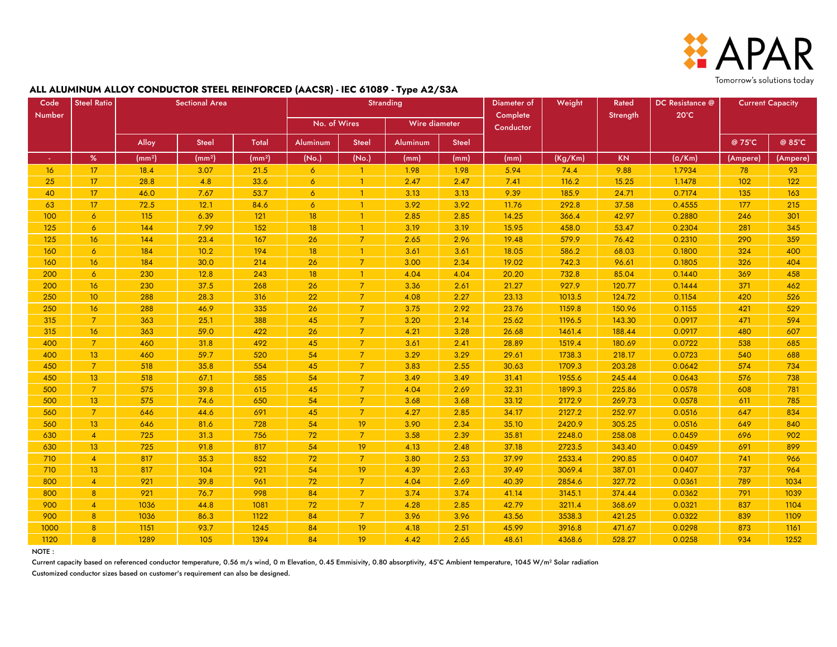

#### **ALL ALUMINUM ALLOY CONDUCTOR STEEL REINFORCED (AACSR) - IEC 61089 - Type A2/S3A**

| Code          | <b>Steel Ratio</b> | <b>Sectional Area</b> |                    |                    | Stranding       |                |               |              | Diameter of | Weight  | Rated     | DC Resistance @ | <b>Current Capacity</b> |          |
|---------------|--------------------|-----------------------|--------------------|--------------------|-----------------|----------------|---------------|--------------|-------------|---------|-----------|-----------------|-------------------------|----------|
| <b>Number</b> |                    |                       |                    |                    | No. of Wires    |                | Wire diameter |              | Complete    |         | Strength  | $20^{\circ}$ C  |                         |          |
|               |                    |                       |                    |                    |                 |                |               |              | Conductor   |         |           |                 |                         |          |
|               |                    | Alloy                 | <b>Steel</b>       | <b>Total</b>       | Aluminum        | <b>Steel</b>   | Aluminum      | <b>Steel</b> |             |         |           |                 | @ 75°C                  | @ 85°C   |
| $\sim$        | $\%$               | (mm <sup>2</sup> )    | (mm <sup>2</sup> ) | (mm <sup>2</sup> ) | (No.)           | (No.)          | (mm)          | (mm)         | (mm)        | (Kg/Km) | <b>KN</b> | $(\Omega/Km)$   | (Ampere)                | (Ampere) |
| 16            | 17 <sup>2</sup>    | 18.4                  | 3.07               | 21.5               | $\sigma$        | $\mathbf{1}$   | 1.98          | 1.98         | 5.94        | 74.4    | 9.88      | 1.7934          | 78                      | 93       |
| 25            | 17 <sup>2</sup>    | 28.8                  | 4.8                | 33.6               | $\overline{6}$  | 1              | 2.47          | 2.47         | 7.41        | 116.2   | 15.25     | 1.1478          | 102                     | 122      |
| 40            | 17 <sup>2</sup>    | 46.0                  | 7.67               | 53.7               | 6               | -1             | 3.13          | 3.13         | 9.39        | 185.9   | 24.71     | 0.7174          | 135                     | 163      |
| 63            | 17                 | 72.5                  | 12.1               | 84.6               | $\overline{6}$  | -1             | 3.92          | 3.92         | 11.76       | 292.8   | 37.58     | 0.4555          | 177                     | 215      |
| 100           | $\sigma$           | 115                   | 6.39               | 121                | 18              | -1             | 2.85          | 2.85         | 14.25       | 366.4   | 42.97     | 0.2880          | 246                     | 301      |
| 125           | $\overline{6}$     | 144                   | 7.99               | 152                | 18              | 1              | 3.19          | 3.19         | 15.95       | 458.0   | 53.47     | 0.2304          | 281                     | 345      |
| 125           | 16                 | 144                   | 23.4               | 167                | 26              | 7              | 2.65          | 2.96         | 19.48       | 579.9   | 76.42     | 0.2310          | 290                     | 359      |
| 160           | $\overline{6}$     | 184                   | 10.2               | 194                | 18              | $\mathbf{1}$   | 3.61          | 3.61         | 18.05       | 586.2   | 68.03     | 0.1800          | 324                     | 400      |
| 160           | 16                 | 184                   | 30.0               | 214                | 26              | $\overline{7}$ | 3.00          | 2.34         | 19.02       | 742.3   | 96.61     | 0.1805          | 326                     | 404      |
| 200           | $\overline{6}$     | 230                   | 12.8               | 243                | 18              | $\mathbf{1}$   | 4.04          | 4.04         | 20.20       | 732.8   | 85.04     | 0.1440          | 369                     | 458      |
| 200           | 16                 | 230                   | 37.5               | 268                | 26              | $\overline{7}$ | 3.36          | 2.61         | 21.27       | 927.9   | 120.77    | 0.1444          | 371                     | 462      |
| 250           | 10 <sup>°</sup>    | 288                   | 28.3               | 316                | 22              | $\overline{7}$ | 4.08          | 2.27         | 23.13       | 1013.5  | 124.72    | 0.1154          | 420                     | 526      |
| 250           | 16                 | 288                   | 46.9               | 335                | 26              | $\overline{7}$ | 3.75          | 2.92         | 23.76       | 1159.8  | 150.96    | 0.1155          | 421                     | 529      |
| 315           | $\overline{7}$     | 363                   | 25.1               | 388                | 45              | $\overline{7}$ | 3.20          | 2.14         | 25.62       | 1196.5  | 143.30    | 0.0917          | 471                     | 594      |
| 315           | 16                 | 363                   | 59.0               | 422                | 26              | $\overline{7}$ | 4.21          | 3.28         | 26.68       | 1461.4  | 188.44    | 0.0917          | 480                     | 607      |
| 400           | $\overline{7}$     | 460                   | 31.8               | 492                | 45              | $\overline{7}$ | 3.61          | 2.41         | 28.89       | 1519.4  | 180.69    | 0.0722          | 538                     | 685      |
| 400           | 13 <sup>°</sup>    | 460                   | 59.7               | 520                | 54              | 7              | 3.29          | 3.29         | 29.61       | 1738.3  | 218.17    | 0.0723          | 540                     | 688      |
| 450           | $\overline{7}$     | 518                   | 35.8               | 554                | 45              | $\overline{7}$ | 3.83          | 2.55         | 30.63       | 1709.3  | 203.28    | 0.0642          | 574                     | 734      |
| 450           | 13                 | 518                   | 67.1               | 585                | 54              | $\overline{7}$ | 3.49          | 3.49         | 31.41       | 1955.6  | 245.44    | 0.0643          | 576                     | 738      |
| 500           | 7 <sup>7</sup>     | 575                   | 39.8               | 615                | 45              | $\overline{7}$ | 4.04          | 2.69         | 32.31       | 1899.3  | 225.86    | 0.0578          | 608                     | 781      |
| 500           | 13                 | 575                   | 74.6               | 650                | 54              | $\overline{7}$ | 3.68          | 3.68         | 33.12       | 2172.9  | 269.73    | 0.0578          | 611                     | 785      |
| 560           | $\overline{7}$     | 646                   | 44.6               | 691                | 45              | $\overline{7}$ | 4.27          | 2.85         | 34.17       | 2127.2  | 252.97    | 0.0516          | 647                     | 834      |
| 560           | 13                 | 646                   | 81.6               | 728                | 54              | 19             | 3.90          | 2.34         | 35.10       | 2420.9  | 305.25    | 0.0516          | 649                     | 840      |
| 630           | $\overline{4}$     | 725                   | 31.3               | 756                | 72 <sub>2</sub> | $\overline{7}$ | 3.58          | 2.39         | 35.81       | 2248.0  | 258.08    | 0.0459          | 696                     | 902      |
| 630           | 13                 | 725                   | 91.8               | 817                | 54              | 19             | 4.13          | 2.48         | 37.18       | 2723.5  | 343.40    | 0.0459          | 691                     | 899      |
| 710           | $\overline{4}$     | 817                   | 35.3               | 852                | 72              | $\overline{7}$ | 3.80          | 2.53         | 37.99       | 2533.4  | 290.85    | 0.0407          | 741                     | 966      |
| 710           | 13                 | 817                   | 104                | 921                | 54              | 19             | 4.39          | 2.63         | 39.49       | 3069.4  | 387.01    | 0.0407          | 737                     | 964      |
| 800           | $\overline{4}$     | 921                   | 39.8               | 961                | 72              | $\overline{7}$ | 4.04          | 2.69         | 40.39       | 2854.6  | 327.72    | 0.0361          | 789                     | 1034     |
| 800           | 8 <sup>°</sup>     | 921                   | 76.7               | 998                | 84              | $\overline{7}$ | 3.74          | 3.74         | 41.14       | 3145.1  | 374.44    | 0.0362          | 791                     | 1039     |
| 900           | $\overline{4}$     | 1036                  | 44.8               | 1081               | 72              | $\overline{7}$ | 4.28          | 2.85         | 42.79       | 3211.4  | 368.69    | 0.0321          | 837                     | 1104     |
| 900           | 8 <sup>°</sup>     | 1036                  | 86.3               | 1122               | 84              | 7              | 3.96          | 3.96         | 43.56       | 3538.3  | 421.25    | 0.0322          | 839                     | 1109     |
| 1000          | 8                  | 1151                  | 93.7               | 1245               | 84              | 19             | 4.18          | 2.51         | 45.99       | 3916.8  | 471.67    | 0.0298          | 873                     | 1161     |
| 1120          | $\mathbf{R}$       | 1289                  | 105                | 1394               | 84              | 19             | 4.42          | 2.65         | 48.61       | 4368.6  | 528.27    | 0.0258          | 934                     | 1252     |

NOTE :

Current capacity based on referenced conductor temperature, 0.56 m/s wind, 0 m Elevation, 0.45 Emmisivity, 0.80 absorptivity, 45°C Ambient temperature, 1045 W/m<sup>2</sup> Solar radiation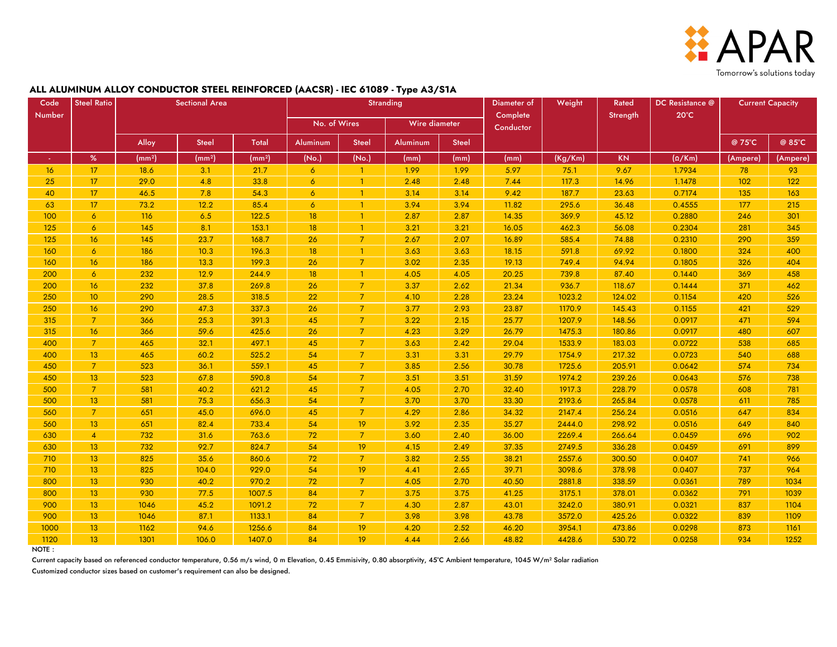

#### **ALL ALUMINUM ALLOY CONDUCTOR STEEL REINFORCED (AACSR) - IEC 61089 - Type A3/S1A**

| Code   | <b>Steel Ratio</b> |                    | <b>Sectional Area</b> |                    | <b>Stranding</b> |                |               |              | Diameter of           | Weight  | Rated     | <b>DC</b> Resistance @ | <b>Current Capacity</b> |          |
|--------|--------------------|--------------------|-----------------------|--------------------|------------------|----------------|---------------|--------------|-----------------------|---------|-----------|------------------------|-------------------------|----------|
| Number |                    |                    |                       |                    | No. of Wires     |                | Wire diameter |              | Complete<br>Conductor |         | Strength  | $20^{\circ}$ C         |                         |          |
|        |                    | Alloy              | <b>Steel</b>          | Total              | Aluminum         | <b>Steel</b>   | Aluminum      | <b>Steel</b> |                       |         |           |                        | @ 75°C                  | @ 85°C   |
| ×      | $\%$               | (mm <sup>2</sup> ) | (mm <sup>2</sup> )    | (mm <sup>2</sup> ) | (No.)            | (No.)          | (mm)          | (mm)         | (mm)                  | (Kg/Km) | <b>KN</b> | $(\Omega/Km)$          | (Ampere)                | (Ampere) |
| 16     | 17                 | 18.6               | 3.1                   | 21.7               | $\overline{6}$   | $\mathbf{1}$   | 1.99          | 1.99         | 5.97                  | 75.1    | 9.67      | 1.7934                 | 78                      | 93       |
| 25     | 17                 | 29.0               | 4.8                   | 33.8               | 6                |                | 2.48          | 2.48         | 7.44                  | 117.3   | 14.96     | 1.1478                 | 102                     | 122      |
| 40     | 17                 | 46.5               | 7.8                   | 54.3               | 6                | -1             | 3.14          | 3.14         | 9.42                  | 187.7   | 23.63     | 0.7174                 | 135                     | 163      |
| 63     | 17                 | 73.2               | 12.2                  | 85.4               | $\sigma$         | $\mathbf{1}$   | 3.94          | 3.94         | 11.82                 | 295.6   | 36.48     | 0.4555                 | 177                     | 215      |
| 100    | $\overline{6}$     | 116                | 6.5                   | 122.5              | 18               | $\mathbf{1}$   | 2.87          | 2.87         | 14.35                 | 369.9   | 45.12     | 0.2880                 | 246                     | 301      |
| 125    | $\overline{6}$     | 145                | 8.1                   | 153.1              | 18               | $\mathbf{1}$   | 3.21          | 3.21         | 16.05                 | 462.3   | 56.08     | 0.2304                 | 281                     | 345      |
| 125    | 16                 | 145                | 23.7                  | 168.7              | 26               | $\overline{7}$ | 2.67          | 2.07         | 16.89                 | 585.4   | 74.88     | 0.2310                 | 290                     | 359      |
| 160    | $\overline{6}$     | 186                | 10.3                  | 196.3              | 18               | $\overline{1}$ | 3.63          | 3.63         | 18.15                 | 591.8   | 69.92     | 0.1800                 | 324                     | 400      |
| 160    | 16                 | 186                | 13.3                  | 199.3              | 26               | $\overline{7}$ | 3.02          | 2.35         | 19.13                 | 749.4   | 94.94     | 0.1805                 | 326                     | 404      |
| 200    | 6                  | 232                | 12.9                  | 244.9              | 18               | $\mathbf{1}$   | 4.05          | 4.05         | 20.25                 | 739.8   | 87.40     | 0.1440                 | 369                     | 458      |
| 200    | 16                 | 232                | 37.8                  | 269.8              | 26               | $\overline{7}$ | 3.37          | 2.62         | 21.34                 | 936.7   | 118.67    | 0.1444                 | 371                     | 462      |
| 250    | 10 <sup>°</sup>    | 290                | 28.5                  | 318.5              | 22               | $\overline{7}$ | 4.10          | 2.28         | 23.24                 | 1023.2  | 124.02    | 0.1154                 | 420                     | 526      |
| 250    | 16                 | 290                | 47.3                  | 337.3              | 26               | $\overline{7}$ | 3.77          | 2.93         | 23.87                 | 1170.9  | 145.43    | 0.1155                 | 421                     | 529      |
| 315    | $\overline{7}$     | 366                | 25.3                  | 391.3              | 45               | $\overline{7}$ | 3.22          | 2.15         | 25.77                 | 1207.9  | 148.56    | 0.0917                 | 471                     | 594      |
| 315    | 16                 | 366                | 59.6                  | 425.6              | 26               | $\overline{7}$ | 4.23          | 3.29         | 26.79                 | 1475.3  | 180.86    | 0.0917                 | 480                     | 607      |
| 400    | $\overline{7}$     | 465                | 32.1                  | 497.1              | 45               | 7              | 3.63          | 2.42         | 29.04                 | 1533.9  | 183.03    | 0.0722                 | 538                     | 685      |
| 400    | 13 <sup>°</sup>    | 465                | 60.2                  | 525.2              | 54               | $\overline{7}$ | 3.31          | 3.31         | 29.79                 | 1754.9  | 217.32    | 0.0723                 | 540                     | 688      |
| 450    | $\overline{7}$     | 523                | 36.1                  | 559.1              | 45               | $\overline{7}$ | 3.85          | 2.56         | 30.78                 | 1725.6  | 205.91    | 0.0642                 | 574                     | 734      |
| 450    | 13                 | 523                | 67.8                  | 590.8              | 54               | $\overline{7}$ | 3.51          | 3.51         | 31.59                 | 1974.2  | 239.26    | 0.0643                 | 576                     | 738      |
| 500    | 7 <sup>7</sup>     | 581                | 40.2                  | 621.2              | 45               | $\overline{7}$ | 4.05          | 2.70         | 32.40                 | 1917.3  | 228.79    | 0.0578                 | 608                     | 781      |
| 500    | 13 <sup>°</sup>    | 581                | 75.3                  | 656.3              | 54               | $\overline{7}$ | 3.70          | 3.70         | 33.30                 | 2193.6  | 265.84    | 0.0578                 | 611                     | 785      |
| 560    | $\overline{7}$     | 651                | 45.0                  | 696.0              | 45               | $\overline{7}$ | 4.29          | 2.86         | 34.32                 | 2147.4  | 256.24    | 0.0516                 | 647                     | 834      |
| 560    | 13 <sup>°</sup>    | 651                | 82.4                  | 733.4              | 54               | 19             | 3.92          | 2.35         | 35.27                 | 2444.0  | 298.92    | 0.0516                 | 649                     | 840      |
| 630    | $\overline{4}$     | 732                | 31.6                  | 763.6              | 72               | $\overline{7}$ | 3.60          | 2.40         | 36.00                 | 2269.4  | 266.64    | 0.0459                 | 696                     | 902      |
| 630    | 13 <sup>°</sup>    | 732                | 92.7                  | 824.7              | 54               | 19             | 4.15          | 2.49         | 37.35                 | 2749.5  | 336.28    | 0.0459                 | 691                     | 899      |
| 710    | 13                 | 825                | 35.6                  | 860.6              | 72               | $\overline{7}$ | 3.82          | 2.55         | 38.21                 | 2557.6  | 300.50    | 0.0407                 | 741                     | 966      |
| 710    | 13 <sup>°</sup>    | 825                | 104.0                 | 929.0              | 54               | 19             | 4.41          | 2.65         | 39.71                 | 3098.6  | 378.98    | 0.0407                 | 737                     | 964      |
| 800    | 13 <sup>°</sup>    | 930                | 40.2                  | 970.2              | 72               | $\overline{7}$ | 4.05          | 2.70         | 40.50                 | 2881.8  | 338.59    | 0.0361                 | 789                     | 1034     |
| 800    | 13                 | 930                | 77.5                  | 1007.5             | 84               | $\overline{7}$ | 3.75          | 3.75         | 41.25                 | 3175.1  | 378.01    | 0.0362                 | 791                     | 1039     |
| 900    | 13 <sup>°</sup>    | 1046               | 45.2                  | 1091.2             | 72               | $\overline{7}$ | 4.30          | 2.87         | 43.01                 | 3242.0  | 380.91    | 0.0321                 | 837                     | 1104     |
| 900    | 13 <sup>°</sup>    | 1046               | 87.1                  | 1133.1             | 84               | 7              | 3.98          | 3.98         | 43.78                 | 3572.0  | 425.26    | 0.0322                 | 839                     | 1109     |
| 1000   | 13 <sup>°</sup>    | 1162               | 94.6                  | 1256.6             | 84               | 19             | 4.20          | 2.52         | 46.20                 | 3954.1  | 473.86    | 0.0298                 | 873                     | 1161     |
| 1120   | 13 <sup>°</sup>    | 1301               | 106.0                 | 1407.0             | 84               | 19             | 4.44          | 2.66         | 48.82                 | 4428.6  | 530.72    | 0.0258                 | 934                     | 1252     |

NOTE :

Current capacity based on referenced conductor temperature, 0.56 m/s wind, 0 m Elevation, 0.45 Emmisivity, 0.80 absorptivity, 45°C Ambient temperature, 1045 W/m<sup>2</sup> Solar radiation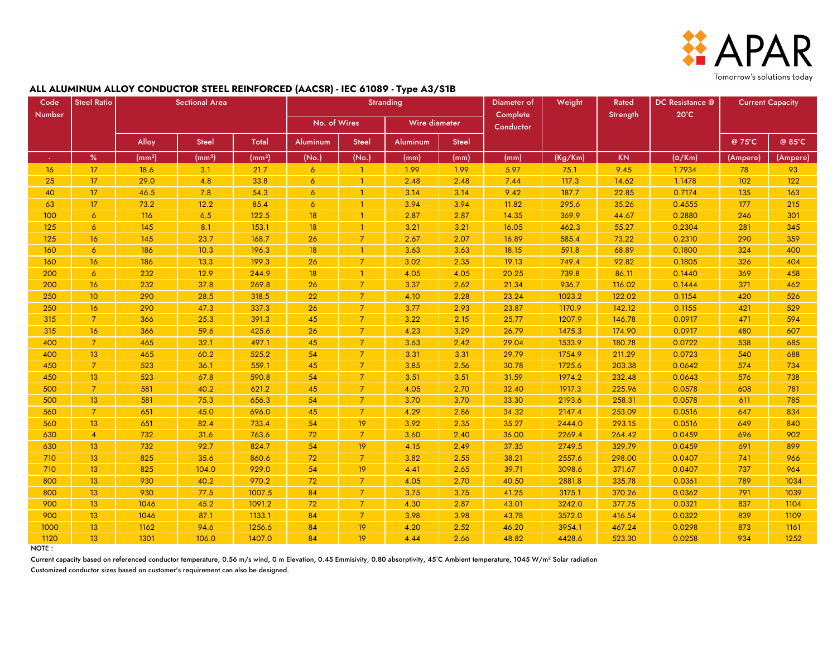

#### **ALL ALUMINUM ALLOY CONDUCTOR STEEL REINFORCED (AACSR) - IEC 61089 - Type A3/S1B**

| Code            | <b>Steel Ratio</b> |                    | <b>Sectional Area</b> |                    | <b>Stranding</b> |                 |               |              | Diameter of           | Weight  | Rated     | DC Resistance @ | <b>Current Capacity</b> |          |
|-----------------|--------------------|--------------------|-----------------------|--------------------|------------------|-----------------|---------------|--------------|-----------------------|---------|-----------|-----------------|-------------------------|----------|
| Number          |                    |                    |                       |                    | No. of Wires     |                 | Wire diameter |              | Complete<br>Conductor |         | Strength  | $20^{\circ}$ C  |                         |          |
|                 |                    | Alloy              | <b>Steel</b>          | <b>Total</b>       | Aluminum         | <b>Steel</b>    | Aluminum      | <b>Steel</b> |                       |         |           |                 | @ 75°C                  | @ 85°C   |
|                 | $\%$               | (mm <sup>2</sup> ) | (mm <sup>2</sup> )    | (mm <sup>2</sup> ) | (No.)            | (No.)           | (mm)          | (mm)         | (mm)                  | (Kg/Km) | <b>KN</b> | $(\Omega/Km)$   | (Ampere)                | (Ampere) |
| 16 <sub>1</sub> | 17                 | 18.6               | 3.1                   | 21.7               | $\overline{6}$   |                 | 1.99          | 1.99         | 5.97                  | 75.1    | 9.45      | 1.7934          | 78                      | 93       |
| 25              | 17 <sup>2</sup>    | 29.0               | 4.8                   | 33.8               | $\overline{6}$   | $\overline{1}$  | 2.48          | 2.48         | 7.44                  | 117.3   | 14.62     | 1.1478          | 102                     | 122      |
| 40              | 17                 | 46.5               | 7.8                   | 54.3               | $\overline{6}$   | $\mathbf{1}$    | 3.14          | 3.14         | 9.42                  | 187.7   | 22.85     | 0.7174          | 135                     | 163      |
| 63              | 17                 | 73.2               | 12.2                  | 85.4               | 6                | -1              | 3.94          | 3.94         | 11.82                 | 295.6   | 35.26     | 0.4555          | 177                     | 215      |
| 100             | $\overline{6}$     | 116                | 6.5                   | 122.5              | 18               |                 | 2.87          | 2.87         | 14.35                 | 369.9   | 44.67     | 0.2880          | 246                     | 301      |
| 125             | $\overline{6}$     | 145                | 8.1                   | 153.1              | 18               | $\mathbf{1}$    | 3.21          | 3.21         | 16.05                 | 462.3   | 55.27     | 0.2304          | 281                     | 345      |
| 125             | 16                 | 145                | 23.7                  | 168.7              | 26               | 7               | 2.67          | 2.07         | 16.89                 | 585.4   | 73.22     | 0.2310          | 290                     | 359      |
| 160             | $\overline{6}$     | 186                | 10.3                  | 196.3              | 18               | -1              | 3.63          | 3.63         | 18.15                 | 591.8   | 68.89     | 0.1800          | 324                     | 400      |
| 160             | 16                 | 186                | 13.3                  | 199.3              | 26               | $\overline{7}$  | 3.02          | 2.35         | 19.13                 | 749.4   | 92.82     | 0.1805          | 326                     | 404      |
| 200             | $\overline{6}$     | 232                | 12.9                  | 244.9              | 18               | $\overline{1}$  | 4.05          | 4.05         | 20.25                 | 739.8   | 86.11     | 0.1440          | 369                     | 458      |
| 200             | 16                 | 232                | 37.8                  | 269.8              | 26               | $\overline{7}$  | 3.37          | 2.62         | 21.34                 | 936.7   | 116.02    | 0.1444          | 371                     | 462      |
| 250             | 10 <sup>°</sup>    | 290                | 28.5                  | 318.5              | 22               | 7               | 4.10          | 2.28         | 23.24                 | 1023.2  | 122.02    | 0.1154          | 420                     | 526      |
| 250             | 16                 | 290                | 47.3                  | 337.3              | 26               | $\overline{7}$  | 3.77          | 2.93         | 23.87                 | 1170.9  | 142.12    | 0.1155          | 421                     | 529      |
| 315             | <sup>7</sup>       | 366                | 25.3                  | 391.3              | 45               | $\overline{7}$  | 3.22          | 2.15         | 25.77                 | 1207.9  | 146.78    | 0.0917          | 471                     | 594      |
| 315             | 16                 | 366                | 59.6                  | 425.6              | 26               | $\overline{7}$  | 4.23          | 3.29         | 26.79                 | 1475.3  | 174.90    | 0.0917          | 480                     | 607      |
| 400             | $\overline{7}$     | 465                | 32.1                  | 497.1              | 45               | $\overline{7}$  | 3.63          | 2.42         | 29.04                 | 1533.9  | 180.78    | 0.0722          | 538                     | 685      |
| 400             | 13                 | 465                | 60.2                  | 525.2              | 54               | $\overline{7}$  | 3.31          | 3.31         | 29.79                 | 1754.9  | 211.29    | 0.0723          | 540                     | 688      |
| 450             | $\overline{7}$     | 523                | 36.1                  | 559.1              | 45               | $\overline{7}$  | 3.85          | 2.56         | 30.78                 | 1725.6  | 203.38    | 0.0642          | 574                     | 734      |
| 450             | 13                 | 523                | 67.8                  | 590.8              | 54               | $\overline{7}$  | 3.51          | 3.51         | 31.59                 | 1974.2  | 232.48    | 0.0643          | 576                     | 738      |
| 500             | $\overline{7}$     | 581                | 40.2                  | 621.2              | 45               | 7               | 4.05          | 2.70         | 32.40                 | 1917.3  | 225.96    | 0.0578          | 608                     | 781      |
| 500             | 13 <sup>°</sup>    | 581                | 75.3                  | 656.3              | 54               | $\overline{7}$  | 3.70          | 3.70         | 33.30                 | 2193.6  | 258.31    | 0.0578          | 611                     | 785      |
| 560             | $\overline{7}$     | 651                | 45.0                  | 696.0              | 45               | $\overline{7}$  | 4.29          | 2.86         | 34.32                 | 2147.4  | 253.09    | 0.0516          | 647                     | 834      |
| 560             | 13                 | 651                | 82.4                  | 733.4              | 54               | 19              | 3.92          | 2.35         | 35.27                 | 2444.0  | 293.15    | 0.0516          | 649                     | 840      |
| 630             | $\overline{4}$     | 732                | 31.6                  | 763.6              | 72               | 7               | 3.60          | 2.40         | 36.00                 | 2269.4  | 264.42    | 0.0459          | 696                     | 902      |
| 630             | 13 <sup>°</sup>    | 732                | 92.7                  | 824.7              | 54               | 19              | 4.15          | 2.49         | 37.35                 | 2749.5  | 329.79    | 0.0459          | 691                     | 899      |
| 710             | 13 <sup>°</sup>    | 825                | 35.6                  | 860.6              | 72               | 7               | 3.82          | 2.55         | 38.21                 | 2557.6  | 298.00    | 0.0407          | 741                     | 966      |
| 710             | 13                 | 825                | 104.0                 | 929.0              | 54               | 19              | 4.41          | 2.65         | 39.71                 | 3098.6  | 371.67    | 0.0407          | 737                     | 964      |
| 800             | 13                 | 930                | 40.2                  | 970.2              | 72               |                 | 4.05          | 2.70         | 40.50                 | 2881.8  | 335.78    | 0.0361          | 789                     | 1034     |
| 800             | 13 <sup>°</sup>    | 930                | 77.5                  | 1007.5             | 84               | $\overline{7}$  | 3.75          | 3.75         | 41.25                 | 3175.1  | 370.26    | 0.0362          | 791                     | 1039     |
| 900             | 13 <sub>1</sub>    | 1046               | 45.2                  | 1091.2             | 72               | 7               | 4.30          | 2.87         | 43.01                 | 3242.0  | 377.75    | 0.0321          | 837                     | 1104     |
| 900             | 13 <sub>2</sub>    | 1046               | 87.1                  | 1133.1             | 84               | $\overline{7}$  | 3.98          | 3.98         | 43.78                 | 3572.0  | 416.54    | 0.0322          | 839                     | 1109     |
| 1000            | 13 <sub>2</sub>    | 1162               | 94.6                  | 1256.6             | 84               | 19              | 4.20          | 2.52         | 46.20                 | 3954.1  | 467.24    | 0.0298          | 873                     | 1161     |
| 1120            | 13 <sup>°</sup>    | 1301               | 106.0                 | 1407.0             | 84               | 19 <sup>°</sup> | 4.44          | 2.66         | 48.82                 | 4428.6  | 523.30    | 0.0258          | 934                     | 1252     |

NOTE :

Current capacity based on referenced conductor temperature, 0.56 m/s wind, 0 m Elevation, 0.45 Emmisivity, 0.80 absorptivity, 45°C Ambient temperature, 1045 W/m<sup>2</sup> Solar radiation